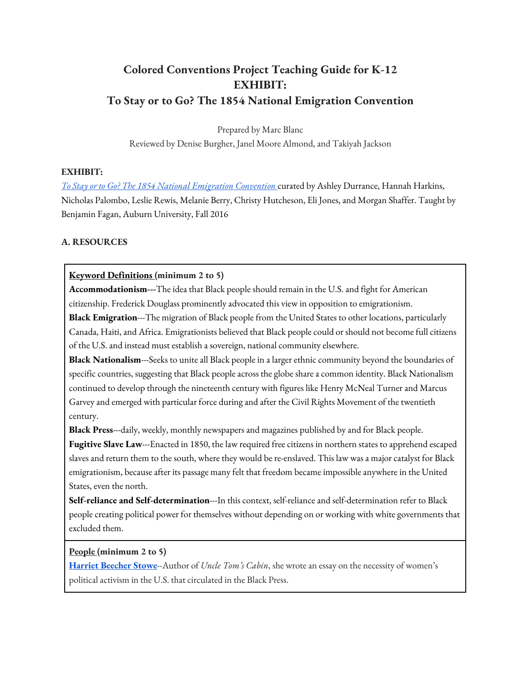# **Colored Conventions Project Teaching Guide for K-12 EXHIBIT: To Stay or to Go? The 1854 National Emigration Convention**

Prepared by Marc Blanc Reviewed by Denise Burgher, Janel Moore Almond, and Takiyah Jackson

### **EXHIBIT:**

*To Stay or to Go? The 1854 National Emigration Convention* curated by Ashley Durrance, Hannah Harkins, Nicholas Palombo, Leslie Rewis, Melanie Berry, Christy Hutcheson, Eli Jones, and Morgan Shaffer. Taught by Benjamin Fagan, Auburn University, Fall 2016

### **A. RESOURCES**

### **Keyword Definitions (minimum 2 to 5)**

**Accommodationism---**The idea that Black people should remain in the U.S. and fight for American citizenship. Frederick Douglass prominently advocated this view in opposition to emigrationism.

**Black Emigration**---The migration of Black people from the United States to other locations, particularly Canada, Haiti, and Africa. Emigrationists believed that Black people could or should not become full citizens of the U.S. and instead must establish a sovereign, national community elsewhere.

**Black Nationalism**---Seeks to unite all Black people in a larger ethnic community beyond the boundaries of specific countries, suggesting that Black people across the globe share a common identity. Black Nationalism continued to develop through the nineteenth century with figures like Henry McNeal Turner and Marcus Garvey and emerged with particular force during and after the Civil Rights Movement of the twentieth century.

**Black Press**---daily, weekly, monthly newspapers and magazines published by and for Black people.

**Fugitive Slave Law**---Enacted in 1850, the law required free citizens in northern states to apprehend escaped slaves and return them to the south, where they would be re-enslaved. This law was a major catalyst for Black emigrationism, because after its passage many felt that freedom became impossible anywhere in the United States, even the north.

**Self-reliance and Self-determination**---In this context, self-reliance and self-determination refer to Black people creating political power for themselves without depending on or working with white governments that excluded them.

**People (minimum 2 to 5)**

**Harriet Beecher Stowe**--Author of *Uncle Tom's Cabin*, she wrote an essay on the necessity of women's political activism in the U.S. that circulated in the Black Press.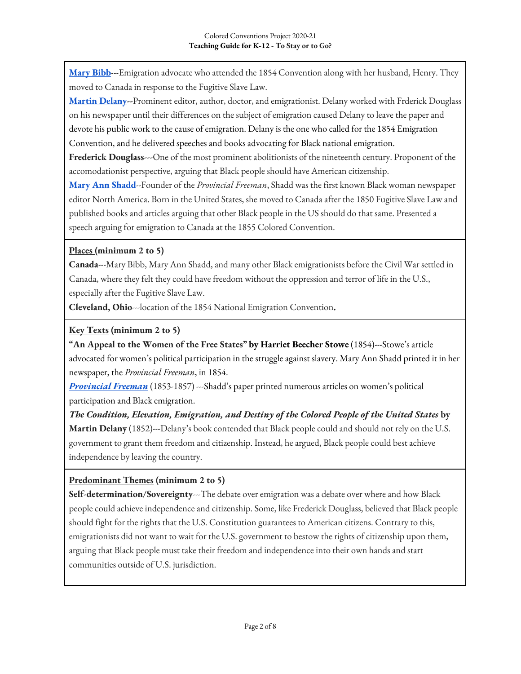**Mary Bibb**---Emigration advocate who attended the 1854 Convention along with her husband, Henry. They moved to Canada in response to the Fugitive Slave Law.

**Martin Delany--**Prominent editor, author, doctor, and emigrationist. Delany worked with Frderick Douglass on his newspaper until their differences on the subject of emigration caused Delany to leave the paper and devote his public work to the cause of emigration. Delany is the one who called for the 1854 Emigration Convention, and he delivered speeches and books advocating for Black national emigration.

**Frederick Douglass---**One of the most prominent abolitionists of the nineteenth century. Proponent of the accomodationist perspective, arguing that Black people should have American citizenship.

**Mary Ann Shadd**--Founder of the *Provincial Freeman*, Shadd was the first known Black woman newspaper editor North America. Born in the United States, she moved to Canada after the 1850 Fugitive Slave Law and published books and articles arguing that other Black people in the US should do that same. Presented a speech arguing for emigration to Canada at the 1855 Colored Convention.

# **Places (minimum 2 to 5)**

**Canada**---Mary Bibb, Mary Ann Shadd, and many other Black emigrationists before the Civil War settled in Canada, where they felt they could have freedom without the oppression and terror of life in the U.S., especially after the Fugitive Slave Law.

**Cleveland, Ohio**---location of the 1854 National Emigration Convention**.**

# **Key Texts (minimum 2 to 5)**

**"An Appeal to the Women of the Free States" by Harriet Beecher Stowe** (1854)---Stowe's article advocated for women's political participation in the struggle against slavery. Mary Ann Shadd printed it in her newspaper, the *Provincial Freeman*, in 1854.

*Provincial Freeman* (1853-1857) ---Shadd's paper printed numerous articles on women's political participation and Black emigration.

*The Condition, Elevation, Emigration, and Destiny of the Colored People of the United States* **by Martin Delany** (1852)---Delany's book contended that Black people could and should not rely on the U.S. government to grant them freedom and citizenship. Instead, he argued, Black people could best achieve independence by leaving the country.

# **Predominant Themes (minimum 2 to 5)**

**Self-determination/Sovereignty**---The debate over emigration was a debate over where and how Black people could achieve independence and citizenship. Some, like Frederick Douglass, believed that Black people should fight for the rights that the U.S. Constitution guarantees to American citizens. Contrary to this, emigrationists did not want to wait for the U.S. government to bestow the rights of citizenship upon them, arguing that Black people must take their freedom and independence into their own hands and start communities outside of U.S. jurisdiction.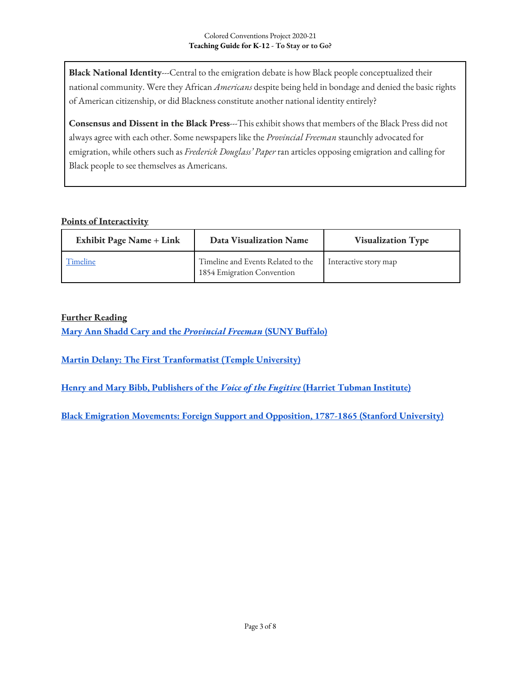**Black National Identity---**Central to the emigration debate is how Black people conceptualized their national community. Were they African *Americans* despite being held in bondage and denied the basic rights of American citizenship, or did Blackness constitute another national identity entirely?

**Consensus and Dissent in the Black Press**---This exhibit shows that members of the Black Press did not always agree with each other. Some newspapers like the *Provincial Freeman* staunchly advocated for emigration, while others such as *Frederick Douglass' Paper* ran articles opposing emigration and calling for Black people to see themselves as Americans.

### **Points of Interactivity**

| <b>Exhibit Page Name + Link</b> | <b>Data Visualization Name</b>                                   | <b>Visualization Type</b> |
|---------------------------------|------------------------------------------------------------------|---------------------------|
| Timeline                        | Timeline and Events Related to the<br>1854 Emigration Convention | Interactive story map     |

### **Further Reading**

**Mary Ann Shadd Cary and the** *Provincial Freeman* **(SUNY Buffalo)**

**Martin Delany: The First Tranformatist (Temple University)**

**Henry and Mary Bibb, Publishers of the** *Voice of the Fugitive* **(Harriet Tubman Institute)**

**Black Emigration Movements: Foreign Support and Opposition, 1787-1865 (Stanford University)**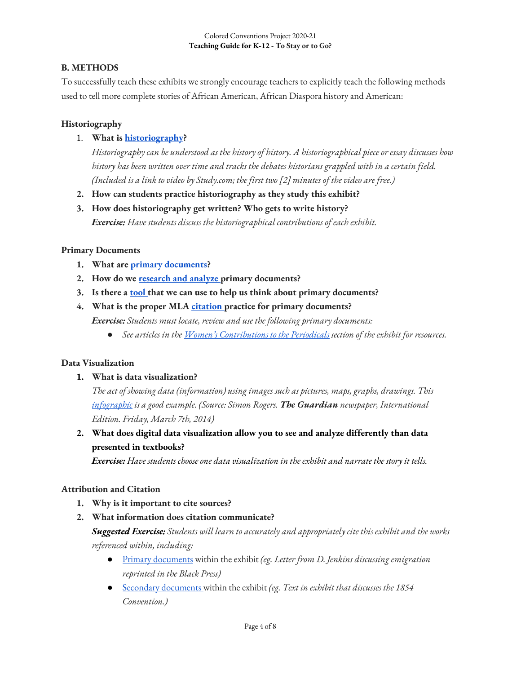#### Colored Conventions Project 2020-21 **Teaching Guide for K-12 - To Stay or to Go?**

# **B. METHODS**

To successfully teach these exhibits we strongly encourage teachers to explicitly teach the following methods used to tell more complete stories of African American, African Diaspora history and American:

# **Historiography**

# 1. **What is historiography?**

*Historiography can be understood as the history of history. A historiographical piece or essay discusses how history has been written over time and tracks the debates historians grappled with in a certain field. (Included is a link to video by Study.com; the first two [2] minutes of the video are free.)*

- **2. How can students practice historiography as they study this exhibit?**
- **3. How does historiography get written? Who gets to write history?** *Exercise: Have students discuss the historiographical contributions of each exhibit.*

# **Primary Documents**

- **1. What are primary documents?**
- **2. How do we research and analyze primary documents?**
- **3. Is there a tool that we can use to help us think about primary documents?**

# **4. What is the proper MLA citation practice for primary documents?** *Exercise: Students must locate, review and use the following primary documents:*

● *See articles in the Women's Contributions to the Periodicals section of the exhibit for resources.* 

# **Data Visualization**

### **1. What is data visualization?**

*The act of showing data (information) using images such as pictures, maps, graphs, drawings. This infographic is a good example. (Source: Simon Rogers. The Guardian newspaper, International Edition. Friday, March 7th, 2014)*

**2. What does digital data visualization allow you to see and analyze differently than data presented in textbooks?**

*Exercise: Have students choose one data visualization in the exhibit and narrate the story it tells.*

# **Attribution and Citation**

- **1. Why is it important to cite sources?**
- **2. What information does citation communicate?**

*Suggested Exercise: Students will learn to accurately and appropriately cite this exhibit and the works referenced within, including:* 

- Primary documents within the exhibit *(eg. Letter from D. Jenkins discussing emigration reprinted in the Black Press)*
- Secondary documents within the exhibit *(eg. Text in exhibit that discusses the 1854 Convention.)*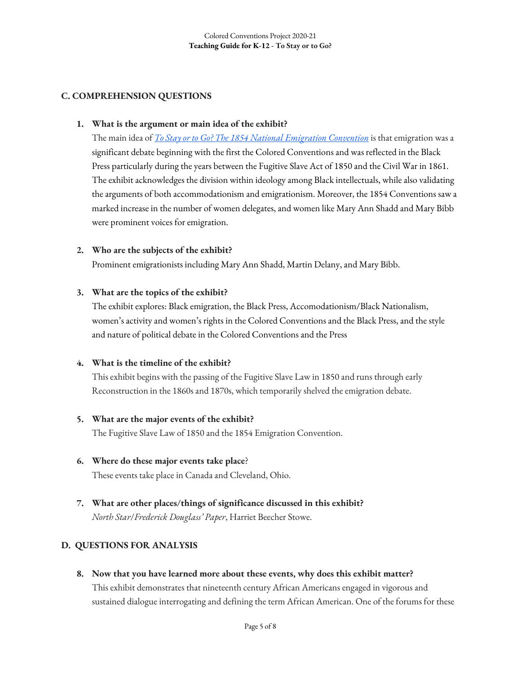# **C. COMPREHENSION QUESTIONS**

### **1. What is the argument or main idea of the exhibit?**

The main idea of *To Stay or to Go? The 1854 National Emigration Convention* is that emigration was a significant debate beginning with the first the Colored Conventions and was reflected in the Black Press particularly during the years between the Fugitive Slave Act of 1850 and the Civil War in 1861. The exhibit acknowledges the division within ideology among Black intellectuals, while also validating the arguments of both accommodationism and emigrationism. Moreover, the 1854 Conventions saw a marked increase in the number of women delegates, and women like Mary Ann Shadd and Mary Bibb were prominent voices for emigration.

### **2. Who are the subjects of the exhibit?**

Prominent emigrationists including Mary Ann Shadd, Martin Delany, and Mary Bibb.

### **3. What are the topics of the exhibit?**

The exhibit explores: Black emigration, the Black Press, Accomodationism/Black Nationalism, women's activity and women's rights in the Colored Conventions and the Black Press, and the style and nature of political debate in the Colored Conventions and the Press

### **4. What is the timeline of the exhibit?**

This exhibit begins with the passing of the Fugitive Slave Law in 1850 and runs through early Reconstruction in the 1860s and 1870s, which temporarily shelved the emigration debate.

### **5. What are the major events of the exhibit?**

The Fugitive Slave Law of 1850 and the 1854 Emigration Convention.

- **6. Where do these major events take place**? These events take place in Canada and Cleveland, Ohio.
- **7. What are other places/things of significance discussed in this exhibit?**  *North Star*/*Frederick Douglass' Paper*, Harriet Beecher Stowe.

# **D. QUESTIONS FOR ANALYSIS**

**8. Now that you have learned more about these events, why does this exhibit matter?** This exhibit demonstrates that nineteenth century African Americans engaged in vigorous and sustained dialogue interrogating and defining the term African American. One of the forums for these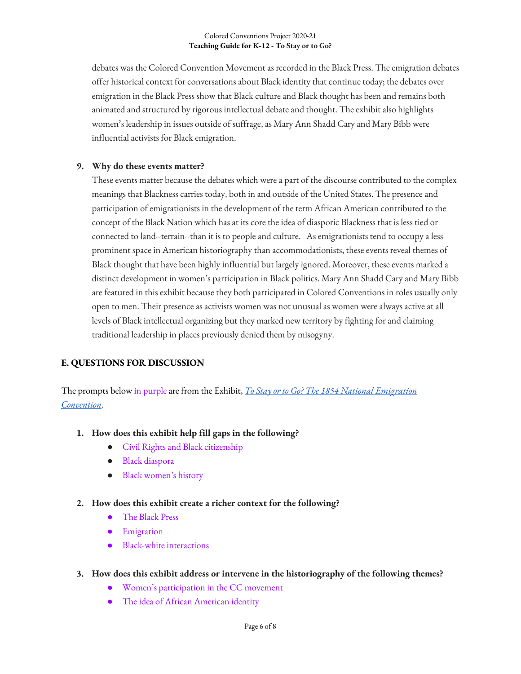#### Colored Conventions Project 2020-21 **Teaching Guide for K-12 - To Stay or to Go?**

debates was the Colored Convention Movement as recorded in the Black Press. The emigration debates offer historical context for conversations about Black identity that continue today; the debates over emigration in the Black Press show that Black culture and Black thought has been and remains both animated and structured by rigorous intellectual debate and thought. The exhibit also highlights women's leadership in issues outside of suffrage, as Mary Ann Shadd Cary and Mary Bibb were influential activists for Black emigration.

### **9. Why do these events matter?**

These events matter because the debates which were a part of the discourse contributed to the complex meanings that Blackness carries today, both in and outside of the United States. The presence and participation of emigrationists in the development of the term African American contributed to the concept of the Black Nation which has at its core the idea of diasporic Blackness that is less tied or connected to land--terrain--than it is to people and culture. As emigrationists tend to occupy a less prominent space in American historiography than accommodationists, these events reveal themes of Black thought that have been highly influential but largely ignored. Moreover, these events marked a distinct development in women's participation in Black politics. Mary Ann Shadd Cary and Mary Bibb are featured in this exhibit because they both participated in Colored Conventions in roles usually only open to men. Their presence as activists women was not unusual as women were always active at all levels of Black intellectual organizing but they marked new territory by fighting for and claiming traditional leadership in places previously denied them by misogyny.

# **E. QUESTIONS FOR DISCUSSION**

The prompts below in purpleare from the Exhibit, *To Stay or to Go? The 1854 National Emigration Convention*.

- **1. How does this exhibit help fill gaps in the following?**
	- Civil Rights and Black citizenship
	- Black diaspora
	- Black women's history
- **2. How does this exhibit create a richer context for the following?**
	- The Black Press
	- Emigration
	- Black-white interactions
- **3. How does this exhibit address or intervene in the historiography of the following themes?**
	- Women's participation in the CC movement
	- The idea of African American identity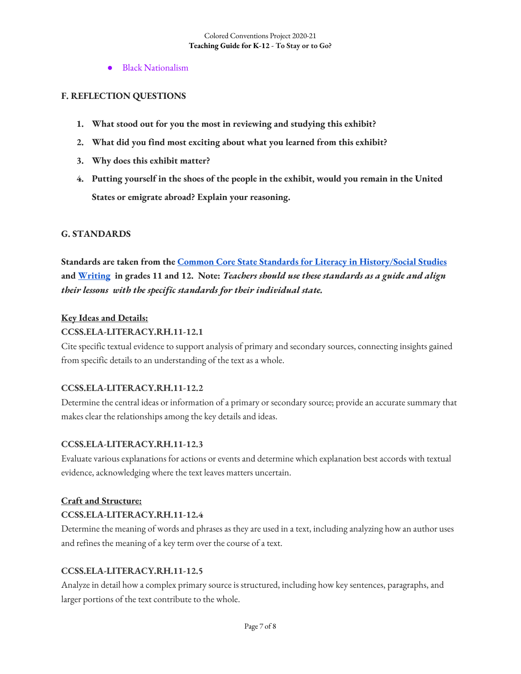● Black Nationalism

### **F. REFLECTION QUESTIONS**

- **1. What stood out for you the most in reviewing and studying this exhibit?**
- **2. What did you find most exciting about what you learned from this exhibit?**
- **3. Why does this exhibit matter?**
- **4. Putting yourself in the shoes of the people in the exhibit, would you remain in the United States or emigrate abroad? Explain your reasoning.**

### **G. STANDARDS**

**Standards are taken from the Common Core State Standards for Literacy in History/Social Studies and Writing in grades 11 and 12. Note:** *Teachers should use these standards as a guide and align their lessons with the specific standards for their individual state.* 

### **Key Ideas and Details:**

### **CCSS.ELA-LITERACY.RH.11-12.1**

Cite specific textual evidence to support analysis of primary and secondary sources, connecting insights gained from specific details to an understanding of the text as a whole.

#### **CCSS.ELA-LITERACY.RH.11-12.2**

Determine the central ideas or information of a primary or secondary source; provide an accurate summary that makes clear the relationships among the key details and ideas.

#### **CCSS.ELA-LITERACY.RH.11-12.3**

Evaluate various explanations for actions or events and determine which explanation best accords with textual evidence, acknowledging where the text leaves matters uncertain.

### **Craft and Structure:**

### **CCSS.ELA-LITERACY.RH.11-12.4**

Determine the meaning of words and phrases as they are used in a text, including analyzing how an author uses and refines the meaning of a key term over the course of a text.

#### **CCSS.ELA-LITERACY.RH.11-12.5**

Analyze in detail how a complex primary source is structured, including how key sentences, paragraphs, and larger portions of the text contribute to the whole.